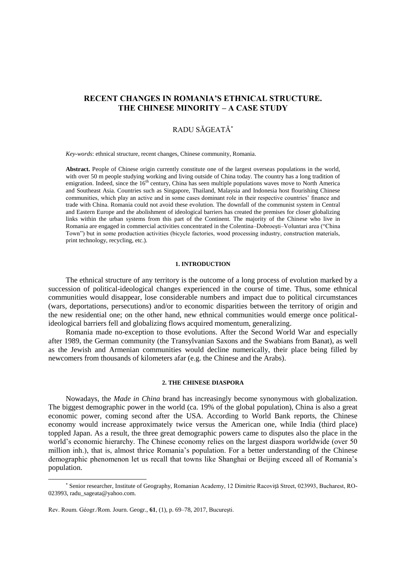# **RECENT CHANGES IN ROMANIA'S ETHNICAL STRUCTURE. THE CHINESE MINORITY – A CASE STUDY**

## RADU SĂGEATĂ

*Key-words*: ethnical structure, recent changes, Chinese community, Romania.

**Abstract.** People of Chinese origin currently constitute one of the largest overseas populations in the world, with over 50 m people studying working and living outside of China today. The country has a long tradition of emigration. Indeed, since the 16<sup>th</sup> century, China has seen multiple populations waves move to North America and Southeast Asia. Countries such as Singapore, Thailand, Malaysia and Indonesia host flourishing Chinese communities, which play an active and in some cases dominant role in their respective countries' finance and trade with China. Romania could not avoid these evolution. The downfall of the communist system in Central and Eastern Europe and the abolishment of ideological barriers has created the premises for closer globalizing links within the urban systems from this part of the Continent. The majority of the Chinese who live in Romania are engaged in commercial activities concentrated in the Colentina–Dobroeşti–Voluntari area ("China Town") but in some production activities (bicycle factories, wood processing industry, construction materials, print technology, recycling, etc.).

### **1. INTRODUCTION**

The ethnical structure of any territory is the outcome of a long process of evolution marked by a succession of political-ideological changes experienced in the course of time. Thus, some ethnical communities would disappear, lose considerable numbers and impact due to political circumstances (wars, deportations, persecutions) and/or to economic disparities between the territory of origin and the new residential one; on the other hand, new ethnical communities would emerge once politicalideological barriers fell and globalizing flows acquired momentum, generalizing.

Romania made no-exception to those evolutions. After the Second World War and especially after 1989, the German community (the Transylvanian Saxons and the Swabians from Banat), as well as the Jewish and Armenian communities would decline numerically, their place being filled by newcomers from thousands of kilometers afar (e.g. the Chinese and the Arabs).

#### **2. THE CHINESE DIASPORA**

Nowadays, the *Made in China* brand has increasingly become synonymous with globalization. The biggest demographic power in the world (ca. 19% of the global population), China is also a great economic power, coming second after the USA. According to World Bank reports, the Chinese economy would increase approximately twice versus the American one, while India (third place) toppled Japan. As a result, the three great demographic powers came to disputes also the place in the world's economic hierarchy. The Chinese economy relies on the largest diaspora worldwide (over 50 million inh.), that is, almost thrice Romania's population. For a better understanding of the Chinese demographic phenomenon let us recall that towns like Shanghai or Beijing exceed all of Romania's population.

Senior researcher, Institute of Geography, Romanian Academy, 12 Dimitrie Racoviţă Street, 023993, Bucharest, RO-023993, radu\_sageata@yahoo.com.

Rev. Roum. Géogr./Rom. Journ. Geogr., **61**, (1), p. 69–78, 2017, Bucureşti.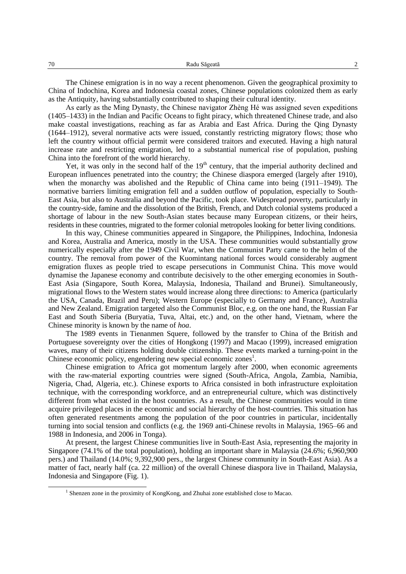The Chinese emigration is in no way a recent phenomenon. Given the geographical proximity to China of Indochina, Korea and Indonesia coastal zones, Chinese populations colonized them as early as the Antiquity, having substantially contributed to shaping their cultural identity.

As early as the Ming Dynasty, the Chinese navigator Zhèng Hé was assigned seven expeditions (1405–1433) in the Indian and Pacific Oceans to fight piracy, which threatened Chinese trade, and also make coastal investigations, reaching as far as Arabia and East Africa. During the Qing Dynasty (1644–1912), several normative acts were issued, constantly restricting migratory flows; those who left the country without official permit were considered traitors and executed. Having a high natural increase rate and restricting emigration, led to a substantial numerical rise of population, pushing China into the forefront of the world hierarchy.

Yet, it was only in the second half of the  $19<sup>th</sup>$  century, that the imperial authority declined and European influences penetrated into the country; the Chinese diaspora emerged (largely after 1910), when the monarchy was abolished and the Republic of China came into being (1911–1949). The normative barriers limiting emigration fell and a sudden outflow of population, especially to South-East Asia, but also to Australia and beyond the Pacific, took place. Widespread poverty, particularly in the country-side, famine and the dissolution of the British, French, and Dutch colonial systems produced a shortage of labour in the new South-Asian states because many European citizens, or their heirs, residents in these countries, migrated to the former colonial metropoles looking for better living conditions.

In this way, Chinese communities appeared in Singapore, the Philippines, Indochina, Indonesia and Korea, Australia and America, mostly in the USA. These communities would substantially grow numerically especially after the 1949 Civil War, when the Communist Party came to the helm of the country. The removal from power of the Kuomintang national forces would considerably augment emigration fluxes as people tried to escape persecutions in Communist China. This move would dynamise the Japanese economy and contribute decisively to the other emerging economies in South-East Asia (Singapore, South Korea, Malaysia, Indonesia, Thailand and Brunei). Simultaneously, migrational flows to the Western states would increase along three directions: to America (particularly the USA, Canada, Brazil and Peru); Western Europe (especially to Germany and France), Australia and New Zealand. Emigration targeted also the Communist Bloc, e.g. on the one hand, the Russian Far East and South Siberia (Buryatia, Tuva, Altai, etc.) and, on the other hand, Vietnam, where the Chinese minority is known by the name of *hoa*.

The 1989 events in Tienanmen Squere, followed by the transfer to China of the British and Portuguese sovereignty over the cities of Hongkong (1997) and Macao (1999), increased emigration waves, many of their citizens holding double citizenship. These events marked a turning-point in the Chinese economic policy, engendering new special economic zones<sup>1</sup>.

Chinese emigration to Africa got momentum largely after 2000, when economic agreements with the raw-material exporting countries were signed (South-Africa, Angola, Zambia, Namibia, Nigeria, Chad, Algeria, etc.). Chinese exports to Africa consisted in both infrastructure exploitation technique, with the corresponding workforce, and an entrepreneurial culture, which was distinctively different from what existed in the host countries. As a result, the Chinese communities would in time acquire privileged places in the economic and social hierarchy of the host-countries. This situation has often generated resentments among the population of the poor countries in particular, incidentally turning into social tension and conflicts (e.g. the 1969 anti-Chinese revolts in Malaysia, 1965–66 and 1988 in Indonesia, and 2006 in Tonga).

At present, the largest Chinese communities live in South-East Asia, representing the majority in Singapore (74.1% of the total population), holding an important share in Malaysia (24.6%; 6,960,900 pers.) and Thailand (14.0%; 9,392,900 pers., the largest Chinese community in South-East Asia). As a matter of fact, nearly half (ca. 22 million) of the overall Chinese diaspora live in Thailand, Malaysia, Indonesia and Singapore (Fig. 1).

<sup>&</sup>lt;sup>1</sup> Shenzen zone in the proximity of KongKong, and Zhuhai zone established close to Macao.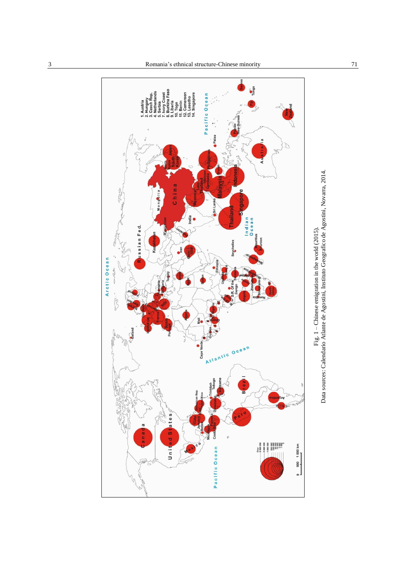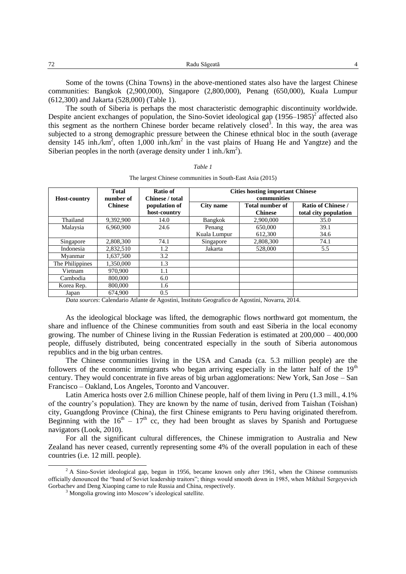Some of the towns (China Towns) in the above-mentioned states also have the largest Chinese communities: Bangkok (2,900,000), Singapore (2,800,000), Penang (650,000), Kuala Lumpur (612,300) and Jakarta (528,000) (Table 1).

The south of Siberia is perhaps the most characteristic demographic discontinuity worldwide. Despite ancient exchanges of population, the Sino-Soviet ideological gap  $(1956-1985)^2$  affected also this segment as the northern Chinese border became relatively closed<sup>3</sup>. In this way, the area was subjected to a strong demographic pressure between the Chinese ethnical bloc in the south (average density 145 inh./km<sup>2</sup>, often 1,000 inh./km<sup>2</sup> in the vast plains of Huang He and Yangtze) and the Siberian peoples in the north (average density under 1 inh./ $km^2$ ).

| <b>Host-country</b> | <b>Total</b><br>number of | Ratio of<br>Chinese / total<br>population of<br>host-country | <b>Cities hosting important Chinese</b><br>communities |                                          |                                                    |
|---------------------|---------------------------|--------------------------------------------------------------|--------------------------------------------------------|------------------------------------------|----------------------------------------------------|
|                     | <b>Chinese</b>            |                                                              | City name                                              | <b>Total number of</b><br><b>Chinese</b> | <b>Ratio of Chinese /</b><br>total city population |
| Thailand            | 9,392,900                 | 14.0                                                         | Bangkok                                                | 2,900,000                                | 35.0                                               |
| Malaysia            | 6.960.900                 | 24.6                                                         | Penang                                                 | 650,000                                  | 39.1                                               |
|                     |                           |                                                              | Kuala Lumpur                                           | 612,300                                  | 34.6                                               |
| Singapore           | 2,808,300                 | 74.1                                                         | Singapore                                              | 2,808,300                                | 74.1                                               |
| Indonesia           | 2.832.510                 | 1.2                                                          | Jakarta                                                | 528,000                                  | 5.5                                                |
| Mvanmar             | 1.637.500                 | 3.2                                                          |                                                        |                                          |                                                    |
| The Philippines     | 1,350,000                 | 1.3                                                          |                                                        |                                          |                                                    |
| Vietnam             | 970,900                   | 1.1                                                          |                                                        |                                          |                                                    |
| Cambodia            | 800,000                   | 6.0                                                          |                                                        |                                          |                                                    |
| Korea Rep.          | 800,000                   | 1.6                                                          |                                                        |                                          |                                                    |
| Japan               | 674,900                   | 0.5                                                          |                                                        |                                          |                                                    |

*Table 1* The largest Chinese communities in South-East Asia (2015)

*Data sources*: Calendario Atlante de Agostini, Instituto Geografico de Agostini, Novarra, 2014.

As the ideological blockage was lifted, the demographic flows northward got momentum, the share and influence of the Chinese communities from south and east Siberia in the local economy growing. The number of Chinese living in the Russian Federation is estimated at 200,000 – 400,000 people, diffusely distributed, being concentrated especially in the south of Siberia autonomous republics and in the big urban centres.

The Chinese communities living in the USA and Canada (ca. 5.3 million people) are the followers of the economic immigrants who began arriving especially in the latter half of the  $19<sup>th</sup>$ century. They would concentrate in five areas of big urban agglomerations: New York, San Jose – San Francisco – Oakland, Los Angeles, Toronto and Vancouver.

Latin America hosts over 2.6 million Chinese people, half of them living in Peru (1.3 mill., 4.1% of the country's population). They are known by the name of tusán, derived from Taishan (Toishan) city, Guangdong Province (China), the first Chinese emigrants to Peru having originated therefrom. Beginning with the  $16<sup>th</sup> - 17<sup>th</sup>$  cc, they had been brought as slaves by Spanish and Portuguese navigators (Look, 2010).

For all the significant cultural differences, the Chinese immigration to Australia and New Zealand has never ceased, currently representing some 4% of the overall population in each of these countries (i.e. 12 mill. people).

 $2 A$  Sino-Soviet ideological gap, begun in 1956, became known only after 1961, when the Chinese communists officially denounced the "band of Soviet leadership traitors"; things would smooth down in 1985, when Mikhail Sergeyevich Gorbachev and Deng Xiaoping came to rule Russia and China, respectively.

<sup>&</sup>lt;sup>3</sup> Mongolia growing into Moscow's ideological satellite.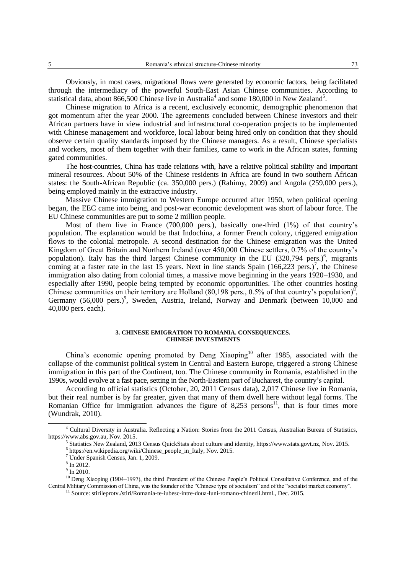Obviously, in most cases, migrational flows were generated by economic factors, being facilitated through the intermediacy of the powerful South-East Asian Chinese communities. According to statistical data, about 866,500 Chinese live in Australia<sup>4</sup> and some 180,000 in New Zealand<sup>5</sup>.

Chinese migration to Africa is a recent, exclusively economic, demographic phenomenon that got momentum after the year 2000. The agreements concluded between Chinese investors and their African partners have in view industrial and infrastructural co-operation projects to be implemented with Chinese management and workforce, local labour being hired only on condition that they should observe certain quality standards imposed by the Chinese managers. As a result, Chinese specialists and workers, most of them together with their families, came to work in the African states, forming gated communities.

The host-countries, China has trade relations with, have a relative political stability and important mineral resources. About 50% of the Chinese residents in Africa are found in two southern African states: the South-African Republic (ca. 350,000 pers.) (Rahimy, 2009) and Angola (259,000 pers.), being employed mainly in the extractive industry.

Massive Chinese immigration to Western Europe occurred after 1950, when political opening began, the EEC came into being, and post-war economic development was short of labour force. The EU Chinese communities are put to some 2 million people.

Most of them live in France (700,000 pers.), basically one-third (1%) of that country's population. The explanation would be that Indochina, a former French colony, triggered emigration flows to the colonial metropole. A second destination for the Chinese emigration was the United Kingdom of Great Britain and Northern Ireland (over 450,000 Chinese settlers, 0.7% of the country's population). Italy has the third largest Chinese community in the EU  $(320,794 \text{ pers.})^6$ , migrants coming at a faster rate in the last 15 years. Next in line stands Spain  $(166,223 \text{ pers.})^7$ , the Chinese immigration also dating from colonial times, a massive move beginning in the years 1920–1930, and especially after 1990, people being tempted by economic opportunities. The other countries hosting Chinese communities on their territory are Holland (80,198 pers., 0.5% of that country's population)<sup>8</sup>, Germany (56,000 pers.)<sup>9</sup>, Sweden, Austria, Ireland, Norway and Denmark (between 10,000 and 40,000 pers. each).

#### **3. CHINESE EMIGRATION TO ROMANIA. CONSEQUENCES. CHINESE INVESTMENTS**

China's economic opening promoted by Deng Xiaoping<sup>10</sup> after 1985, associated with the collapse of the communist political system in Central and Eastern Europe, triggered a strong Chinese immigration in this part of the Continent, too. The Chinese community in Romania, established in the 1990s, would evolve at a fast pace, setting in the North-Eastern part of Bucharest, the country's capital.

According to official statistics (October, 20, 2011 Census data), 2,017 Chinese live in Romania, but their real number is by far greater, given that many of them dwell here without legal forms. The Romanian Office for Immigration advances the figure of  $8,253$  persons<sup>11</sup>, that is four times more (Wundrak, 2010).

j

<sup>4</sup> Cultural Diversity in Australia. Reflecting a Nation: Stories from the 2011 Census, Australian Bureau of Statistics, [https://www.abs.gov.au,](https://www.abs.gov.au/) Nov. 2015.

<sup>5</sup> Statistics New Zealand, 2013 Census QuickStats about culture and identity, [https://www.stats.govt.nz,](https://www.stats.govt.nz/) Nov. 2015.

<sup>6</sup> [https://en.wikipedia.org/wiki/Chinese\\_people\\_in\\_Italy,](https://en.wikipedia.org/wiki/Chinese_people_in_Italy) Nov. 2015.

<sup>7</sup> Under Spanish Census, Jan. 1, 2009.

<sup>8</sup> In 2012.

 $9$  In 2010.

 $10$  Deng Xiaoping (1904–1997), the third President of the Chinese People's Political Consultative Conference, and of the Central Military Commission of China, was the founder of the "Chinese type of socialism" and of the "socialist market economy".

<sup>11</sup> Source: stirileprotv./stiri/Romania-te-iubesc-intre-doua-luni-romano-chinezii.html., Dec. 2015.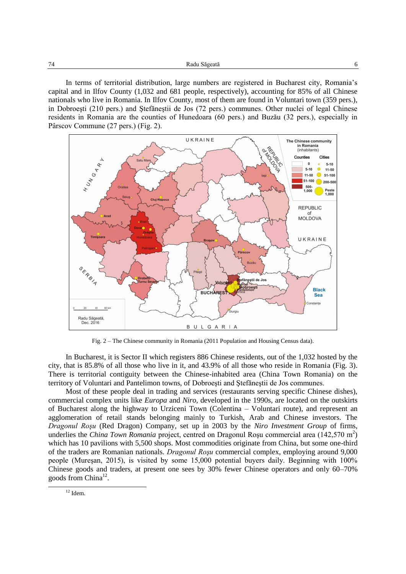In terms of territorial distribution, large numbers are registered in Bucharest city, Romania's capital and in Ilfov County (1,032 and 681 people, respectively), accounting for 85% of all Chinese nationals who live in Romania. In Ilfov County, most of them are found in Voluntari town (359 pers.), in Dobroeşti (210 pers.) and Ştefăneştii de Jos (72 pers.) communes. Other nuclei of legal Chinese residents in Romania are the counties of Hunedoara (60 pers.) and Buzău (32 pers.), especially in Pârscov Commune (27 pers.) (Fig. 2).



Fig. 2 – The Chinese community in Romania (2011 Population and Housing Census data).

In Bucharest, it is Sector II which registers 886 Chinese residents, out of the 1,032 hosted by the city, that is 85.8% of all those who live in it, and 43.9% of all those who reside in Romania (Fig. 3). There is territorial contiguity between the Chinese-inhabited area (China Town Romania) on the territory of Voluntari and Pantelimon towns, of Dobroeşti and Ştefăneştii de Jos communes.

Most of these people deal in trading and services (restaurants serving specific Chinese dishes), commercial complex units like *Europa* and *Niro*, developed in the 1990s, are located on the outskirts of Bucharest along the highway to Urziceni Town (Colentina – Voluntari route), and represent an agglomeration of retail stands belonging mainly to Turkish, Arab and Chinese investors. The *Dragonul Roşu* (Red Dragon) Company, set up in 2003 by the *Niro Investment Group* of firms, underlies the *China Town Romania* project, centred on Dragonul Roșu commercial area (142,570 m<sup>2</sup>) which has 10 pavilions with 5,500 shops. Most commodities originate from China, but some one-third of the traders are Romanian nationals. *Dragonul Roşu* commercial complex, employing around 9,000 people (Mureşan, 2015), is visited by some 15,000 potential buyers daily. Beginning with 100% Chinese goods and traders, at present one sees by 30% fewer Chinese operators and only 60–70% goods from China<sup>12</sup>.

 $12$  Idem.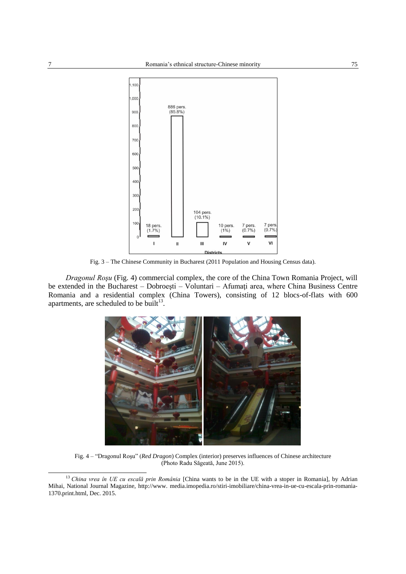

Fig. 3 – The Chinese Community in Bucharest (2011 Population and Housing Census data).

*Dragonul Roşu* (Fig. 4) commercial complex, the core of the China Town Romania Project, will be extended in the Bucharest – Dobroeşti – Voluntari – Afumaţi area, where China Business Centre Romania and a residential complex (China Towers), consisting of 12 blocs-of-flats with 600 apartments, are scheduled to be built $^{13}$ .



Fig. 4 – "Dragonul Roşu" (*Red Dragon*) Complex (interior) preserves influences of Chinese architecture (Photo Radu Săgeată, June 2015).

<sup>13</sup> *China vrea în UE cu escală prin România* [China wants to be in the UE with a stoper in Romania], by Adrian Mihai, National Journal Magazine, [http://www.](http://www/) media.imopedia.ro/stiri-imobiliare/china-vrea-in-ue-cu-escala-prin-romania-1370.print.html, Dec. 2015.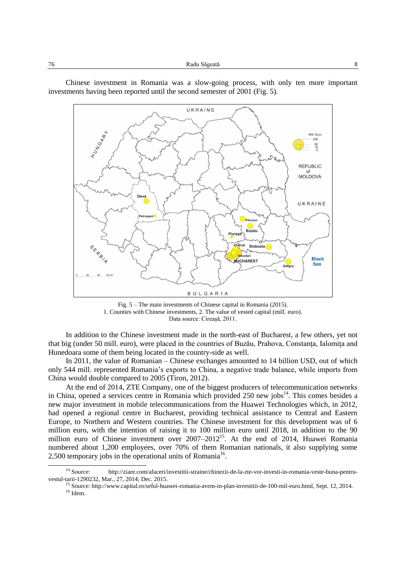Chinese investment in Romania was a slow-going process, with only ten more important investments having been reported until the second semester of 2001 (Fig. 5).





In addition to the Chinese investment made in the north-east of Bucharest, a few others, yet not that big (under 50 mill. euro), were placed in the countries of Buzău, Prahova, Constanţa, Ialomiţa and Hunedoara some of them being located in the country-side as well.

In 2011, the value of Romanian – Chinese exchanges amounted to 14 billion USD, out of which only 544 mill. represented Romania's exports to China, a negative trade balance, while imports from China would double compared to 2005 (Tiron, 2012).

At the end of 2014, ZTE Company, one of the biggest producers of telecommunication networks in China, opened a services centre in Romania which provided  $250$  new jobs<sup>14</sup>. This comes besides a new major investment in mobile telecommunications from the Huawei Technologies which, in 2012, had opened a regional centre in Bucharest, providing technical assistance to Central and Eastern Europe, to Northern and Western countries. The Chinese investment for this development was of 6 million euro, with the intention of raising it to 100 million euro until 2018, in addition to the 90 million euro of Chinese investment over 2007–2012<sup>15</sup>. At the end of 2014, Huawei Romania numbered about 1,200 employees, over 70% of them Romanian nationals, it also supplying some 2,500 temporary jobs in the operational units of Romania<sup>16</sup>.

<sup>14</sup> Source: [http://ziare.com/afaceri/investitii-straine/chinezii-de-la-zte-vor-investi-in-romania-veste-buna-pentru](http://ziare.com/afaceri/investitii-straine/chinezii-de-la-zte-vor-investi-in-romania-veste-buna-pentru-vestul-tarii-1290232)[vestul-tarii-1290232,](http://ziare.com/afaceri/investitii-straine/chinezii-de-la-zte-vor-investi-in-romania-veste-buna-pentru-vestul-tarii-1290232) Mar., 27, 2014; Dec. 2015.

<sup>15</sup> Source[: http://www.capital.ro/seful-huawei-romania-avem-in-plan-investitii-de-100-mil-euro.html,](http://www.capital.ro/seful-huawei-romania-avem-in-plan-investitii-de-100-mil-euro.html) Sept. 12, 2014.  $^{16}$  Idem.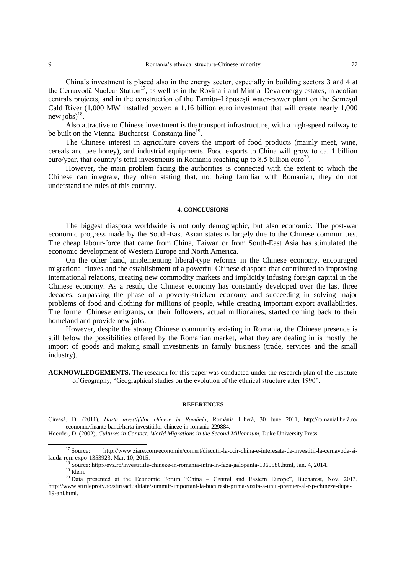China's investment is placed also in the energy sector, especially in building sectors 3 and 4 at the Cernavodă Nuclear Station<sup>17</sup>, as well as in the Rovinari and Mintia–Deva energy estates, in aeolian centrals projects, and in the construction of the Tarniţa–Lăpuşeşti water-power plant on the Someşul Cald River (1,000 MW installed power; a 1.16 billion euro investment that will create nearly 1,000 new jobs) $^{18}$ .

Also attractive to Chinese investment is the transport infrastructure, with a high-speed railway to be built on the Vienna–Bucharest–Constanța line<sup>19</sup>.

The Chinese interest in agriculture covers the import of food products (mainly meet, wine, cereals and bee honey), and industrial equipments. Food exports to China will grow to ca. 1 billion euro/year, that country's total investments in Romania reaching up to 8.5 billion euro<sup>20</sup>.

However, the main problem facing the authorities is connected with the extent to which the Chinese can integrate, they often stating that, not being familiar with Romanian, they do not understand the rules of this country.

#### **4. CONCLUSIONS**

The biggest diaspora worldwide is not only demographic, but also economic. The post-war economic progress made by the South-East Asian states is largely due to the Chinese communities. The cheap labour-force that came from China, Taiwan or from South-East Asia has stimulated the economic development of Western Europe and North America.

On the other hand, implementing liberal-type reforms in the Chinese economy, encouraged migrational fluxes and the establishment of a powerful Chinese diaspora that contributed to improving international relations, creating new commodity markets and implicitly infusing foreign capital in the Chinese economy. As a result, the Chinese economy has constantly developed over the last three decades, surpassing the phase of a poverty-stricken economy and succeeding in solving major problems of food and clothing for millions of people, while creating important export availabilities. The former Chinese emigrants, or their followers, actual millionaires, started coming back to their homeland and provide new jobs.

However, despite the strong Chinese community existing in Romania, the Chinese presence is still below the possibilities offered by the Romanian market, what they are dealing in is mostly the import of goods and making small investments in family business (trade, services and the small industry).

**ACKNOWLEDGEMENTS.** The research for this paper was conducted under the research plan of the Institute of Geography, "Geographical studies on the evolution of the ethnical structure after 1990".

#### **REFERENCES**

Cireaşă, D. (2011), *Harta investiţiilor chineze în România*, România Liberă, 30 June 2011, http://romanialiberă.ro/ economie/finante-banci/harta-investitiilor-chineze-in-romania-229884.

Hoerder, D. (2002), *Cultures in Contact: World Migrations in the Second Millennium*, Duke University Press.

<sup>17</sup> Source: [http://www.ziare.com/economie/comert/discutii-la-ccir-china-e-interesata-de-investitii-la-cernavoda-si](http://www.ziare.com/economie/comert/discutii-la-ccir-china-e-interesata-de-investitii-la-cernavoda-si-lauda-rom%20expo-1353923)[lauda-rom expo-1353923,](http://www.ziare.com/economie/comert/discutii-la-ccir-china-e-interesata-de-investitii-la-cernavoda-si-lauda-rom%20expo-1353923) Mar. 10, 2015.

<sup>18</sup> Source[: http://evz.ro/investitiile-chineze-in-romania-intra-in-faza-galopanta-1069580.html,](http://evz.ro/investitiile-chineze-in-romania-intra-in-faza-galopanta-1069580.html) Jan. 4, 2014.

 $19$  Idem.

 $20$  Data presented at the Economic Forum "China – Central and Eastern Europe", Bucharest, Nov. 2013, http://www.stirileprotv.ro/stiri/actualitate/summit/-important-la-bucuresti-prima-vizita-a-unui-premier-al-r-p-chineze-dupa-19-ani.html.